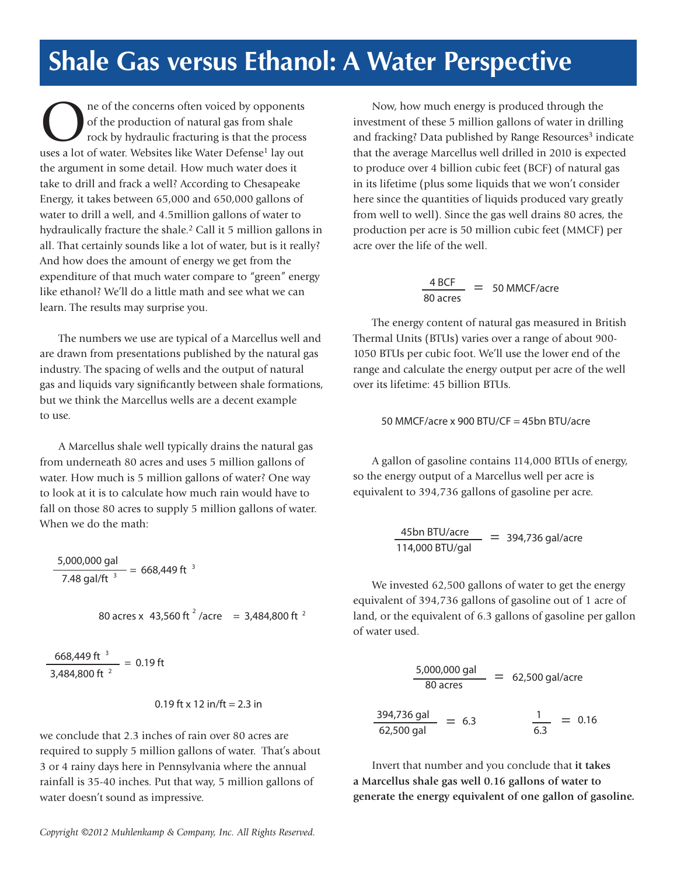## **Shale Gas versus Ethanol: A Water Perspective**

**O a** ne of the concerns often voiced by opponents<br>of the production of natural gas from shale<br>rock by hydraulic fracturing is that the process of the production of natural gas from shale rock by hydraulic fracturing is that the process uses a lot of water. Websites like Water Defense<sup>1</sup> lay out the argument in some detail. How much water does it take to drill and frack a well? According to Chesapeake Energy, it takes between 65,000 and 650,000 gallons of water to drill a well, and 4.5million gallons of water to hydraulically fracture the shale.<sup>2</sup> Call it 5 million gallons in all. That certainly sounds like a lot of water, but is it really? And how does the amount of energy we get from the expenditure of that much water compare to "green" energy like ethanol? We'll do a little math and see what we can learn. The results may surprise you.

 The numbers we use are typical of a Marcellus well and are drawn from presentations published by the natural gas industry. The spacing of wells and the output of natural gas and liquids vary significantly between shale formations, but we think the Marcellus wells are a decent example to use.

 A Marcellus shale well typically drains the natural gas from underneath 80 acres and uses 5 million gallons of water. How much is 5 million gallons of water? One way to look at it is to calculate how much rain would have to fall on those 80 acres to supply 5 million gallons of water. When we do the math:

$$
\frac{5,000,000 \text{ gal}}{7.48 \text{ gal/ft}^3} = 668,449 \text{ ft}^3
$$

 80 acres x = 3,484,800 ft <sup>2</sup> 43,560 ft <sup>2</sup> /acre

 $\frac{668,449 \text{ ft}^{-3}}{2}$  = 0.19 ft 3,484,800 ft  $^{2}$ 

$$
0.19 \text{ ft} \times 12 \text{ in/ft} = 2.3 \text{ in}
$$

we conclude that 2.3 inches of rain over 80 acres are required to supply 5 million gallons of water. That's about 3 or 4 rainy days here in Pennsylvania where the annual rainfall is 35-40 inches. Put that way, 5 million gallons of water doesn't sound as impressive.

 Now, how much energy is produced through the investment of these 5 million gallons of water in drilling and fracking? Data published by Range Resources<sup>3</sup> indicate that the average Marcellus well drilled in 2010 is expected to produce over 4 billion cubic feet (BCF) of natural gas in its lifetime (plus some liquids that we won't consider here since the quantities of liquids produced vary greatly from well to well). Since the gas well drains 80 acres, the production per acre is 50 million cubic feet (MMCF) per acre over the life of the well.

$$
\frac{4 \text{ BCF}}{80 \text{ acres}} = 50 \text{ MMCF/acre}
$$

 The energy content of natural gas measured in British Thermal Units (BTUs) varies over a range of about 900- 1050 BTUs per cubic foot. We'll use the lower end of the range and calculate the energy output per acre of the well over its lifetime: 45 billion BTUs.

50 MMCF/acre x 900 BTU/CF = 45bn BTU/acre

 A gallon of gasoline contains 114,000 BTUs of energy, so the energy output of a Marcellus well per acre is equivalent to 394,736 gallons of gasoline per acre.

 $\frac{45bn \text{ BTU/acre}}{114,000 \text{ BTU/gal}} = 394,736 \text{ gal/acre}$ 

 We invested 62,500 gallons of water to get the energy equivalent of 394,736 gallons of gasoline out of 1 acre of land, or the equivalent of 6.3 gallons of gasoline per gallon of water used.

$$
\frac{5,000,000 \text{ gal}}{80 \text{ acres}} = 62,500 \text{ gal/acre}
$$
\n
$$
\frac{394,736 \text{ gal}}{62,500 \text{ gal}} = 6.3 \qquad \frac{1}{6.3} = 0.16
$$

 Invert that number and you conclude that **it takes a Marcellus shale gas well 0.16 gallons of water to generate the energy equivalent of one gallon of gasoline.**

*Copyright ©2012 Muhlenkamp & Company, Inc. All Rights Reserved.*